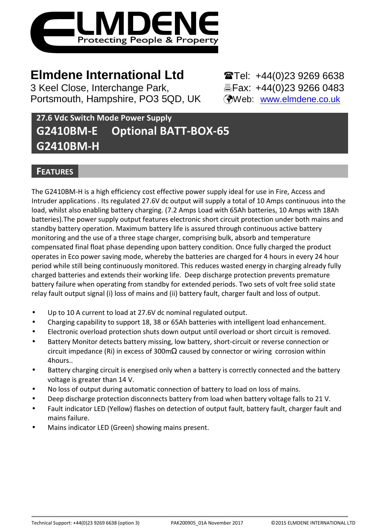

# **Elmdene International Ltd** <br> **Elmdene International Ltd** <br> **Elmdene International Ltd**

3 Keel Close, Interchange Park, Fax: +44(0)23 9266 0483 Portsmouth, Hampshire, PO3 5QD, UK (Web: www.elmdene.co.uk

# **27.6 Vdc Switch Mode Power Supply G2410BM-E Optional BATT-BOX-65 G2410BM-H**

# **FEATURES**

The G2410BM-H is a high efficiency cost effective power supply ideal for use in Fire, Access and Intruder applications . Its regulated 27.6V dc output will supply a total of 10 Amps continuous into the load, whilst also enabling battery charging. (7.2 Amps Load with 65Ah batteries, 10 Amps with 18Ah batteries).The power supply output features electronic short circuit protection under both mains and standby battery operation. Maximum battery life is assured through continuous active battery monitoring and the use of a three stage charger, comprising bulk, absorb and temperature compensated final float phase depending upon battery condition. Once fully charged the product operates in Eco power saving mode, whereby the batteries are charged for 4 hours in every 24 hour period while still being continuously monitored. This reduces wasted energy in charging already fully charged batteries and extends their working life. Deep discharge protection prevents premature battery failure when operating from standby for extended periods. Two sets of volt free solid state relay fault output signal (i) loss of mains and (ii) battery fault, charger fault and loss of output.

- Up to 10 A current to load at 27.6V dc nominal regulated output.
- Charging capability to support 18, 38 or 65Ah batteries with intelligent load enhancement.
- Electronic overload protection shuts down output until overload or short circuit is removed.
- Battery Monitor detects battery missing, low battery, short-circuit or reverse connection or circuit impedance (Ri) in excess of 300m $\Omega$  caused by connector or wiring corrosion within 4hours..
- Battery charging circuit is energised only when a battery is correctly connected and the battery voltage is greater than 14 V.
- No loss of output during automatic connection of battery to load on loss of mains.
- Deep discharge protection disconnects battery from load when battery voltage falls to 21 V.
- Fault indicator LED (Yellow) flashes on detection of output fault, battery fault, charger fault and mains failure.
- Mains indicator LED (Green) showing mains present.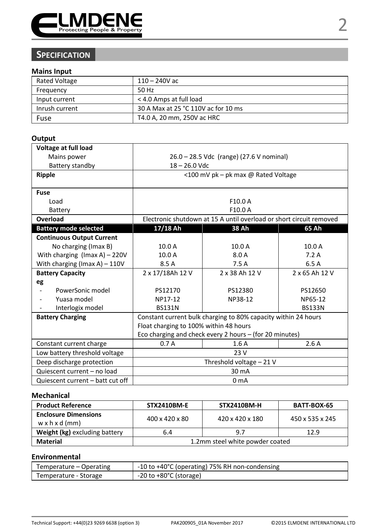

# **SPECIFICATION**

#### **Mains Input**

| <b>Rated Voltage</b> | $110 - 240$ V ac                    |
|----------------------|-------------------------------------|
| Frequency            | 50 Hz                               |
| Input current        | < 4.0 Amps at full load             |
| Inrush current       | 30 A Max at 25 °C 110V ac for 10 ms |
| Fuse                 | T4.0 A, 20 mm, 250V ac HRC          |

## **Output**

| Voltage at full load                             |                                                         |                                                                     |               |  |
|--------------------------------------------------|---------------------------------------------------------|---------------------------------------------------------------------|---------------|--|
| Mains power                                      | 26.0 - 28.5 Vdc (range) (27.6 V nominal)                |                                                                     |               |  |
| Battery standby                                  | $18 - 26.0$ Vdc                                         |                                                                     |               |  |
| Ripple                                           |                                                         | <100 mV pk - pk max @ Rated Voltage                                 |               |  |
|                                                  |                                                         |                                                                     |               |  |
| Fuse                                             |                                                         |                                                                     |               |  |
| Load                                             |                                                         | F10.0A                                                              |               |  |
| Battery                                          |                                                         | F10.0 A                                                             |               |  |
| Overload                                         |                                                         | Electronic shutdown at 15 A until overload or short circuit removed |               |  |
| <b>Battery mode selected</b>                     | 17/18 Ah<br>38 Ah<br>65 Ah                              |                                                                     |               |  |
| <b>Continuous Output Current</b>                 |                                                         |                                                                     |               |  |
| No charging (Imax B)                             | 10.0 A                                                  | 10.0 A                                                              | 10.0 A        |  |
| With charging $(Imax A) - 220V$                  | 10.0A                                                   | 8.0 A                                                               | 7.2A          |  |
| With charging (Imax A) - 110V                    | 8.5 A                                                   | 7.5A                                                                | 6.5A          |  |
| <b>Battery Capacity</b>                          | 2 x 38 Ah 12 V<br>2 x 17/18Ah 12 V<br>2 x 65 Ah 12 V    |                                                                     |               |  |
| eg                                               |                                                         |                                                                     |               |  |
| PowerSonic model<br>$\qquad \qquad \blacksquare$ | PS12170                                                 | PS12380                                                             | PS12650       |  |
| Yuasa model                                      | NP17-12                                                 | NP38-12                                                             | NP65-12       |  |
| Interlogix model                                 | <b>BS131N</b>                                           |                                                                     | <b>BS133N</b> |  |
| <b>Battery Charging</b>                          |                                                         | Constant current bulk charging to 80% capacity within 24 hours      |               |  |
|                                                  | Float charging to 100% within 48 hours                  |                                                                     |               |  |
|                                                  | Eco charging and check every 2 hours - (for 20 minutes) |                                                                     |               |  |
| Constant current charge                          | 0.7A                                                    | 1.6A                                                                | 2.6A          |  |
| Low battery threshold voltage                    | 23 V                                                    |                                                                     |               |  |
| Deep discharge protection                        | Threshold voltage - 21 V                                |                                                                     |               |  |
| Quiescent current - no load                      | 30 mA                                                   |                                                                     |               |  |
| Quiescent current - batt cut off                 | 0 <sub>m</sub> A                                        |                                                                     |               |  |

### **Mechanical**

| <b>Product Reference</b>                                  | <b>STX2410BM-E</b>              | <b>STX2410BM-H</b> | BATT-BOX-65     |
|-----------------------------------------------------------|---------------------------------|--------------------|-----------------|
| <b>Enclosure Dimensions</b><br>$w \times h \times d$ (mm) | $400 \times 420 \times 80$      | 420 x 420 x 180    | 450 x 535 x 245 |
| Weight (kg) excluding battery                             | 12.9<br>6.4<br>9.7              |                    |                 |
| Material                                                  | 1.2mm steel white powder coated |                    |                 |

## **Environmental**

| Temperature – Operating | -10 to +40°C (operating) 75% RH non-condensing |
|-------------------------|------------------------------------------------|
| Temperature - Storage   | $-20$ to $+80^{\circ}$ C (storage)             |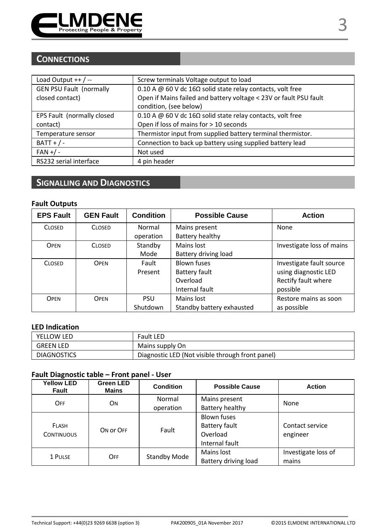

# **CONNECTIONS**

| Screw terminals Voltage output to load                               |
|----------------------------------------------------------------------|
| 0.10 A @ 60 V dc 16 $\Omega$ solid state relay contacts, volt free   |
| Open if Mains failed and battery voltage < 23V or fault PSU fault    |
| condition, (see below)                                               |
| 0.10 A $@$ 60 V dc 16 $\Omega$ solid state relay contacts, volt free |
| Open if loss of mains for > 10 seconds                               |
| Thermistor input from supplied battery terminal thermistor.          |
| Connection to back up battery using supplied battery lead            |
| Not used                                                             |
| 4 pin header                                                         |
|                                                                      |

# **SIGNALLING AND DIAGNOSTICS**

## **Fault Outputs**

| <b>EPS Fault</b> | <b>GEN Fault</b> | <b>Condition</b> | <b>Possible Cause</b>     | <b>Action</b>             |
|------------------|------------------|------------------|---------------------------|---------------------------|
| <b>CLOSED</b>    | <b>CLOSED</b>    | Normal           | Mains present             | None                      |
|                  |                  | operation        | Battery healthy           |                           |
| OPEN             | <b>CLOSED</b>    | Standby          | Mains lost                | Investigate loss of mains |
|                  |                  | Mode             | Battery driving load      |                           |
| <b>CLOSED</b>    | OPFN             | Fault            | <b>Blown fuses</b>        | Investigate fault source  |
|                  |                  | Present          | Battery fault             | using diagnostic LED      |
|                  |                  |                  | Overload                  | Rectify fault where       |
|                  |                  |                  | Internal fault            | possible                  |
| OPEN             | OPFN             | PSU              | Mains lost                | Restore mains as soon     |
|                  |                  | Shutdown         | Standby battery exhausted | as possible               |

## **LED Indication**

| YELLOW LED         | Fault LED                                        |
|--------------------|--------------------------------------------------|
| <b>GREEN LED</b>   | Mains supply On                                  |
| <b>DIAGNOSTICS</b> | Diagnostic LED (Not visible through front panel) |

## **Fault Diagnostic table – Front panel - User**

| <b>Yellow LED</b><br>Fault | Green LED<br>Mains | Condition           | <b>Possible Cause</b>                                      | <b>Action</b>                |  |
|----------------------------|--------------------|---------------------|------------------------------------------------------------|------------------------------|--|
| OFF                        | ON                 | Normal              | Mains present                                              | None                         |  |
|                            |                    | operation           | Battery healthy                                            |                              |  |
| FLASH<br><b>CONTINUOUS</b> | ON OF OFF          | Fault               | Blown fuses<br>Battery fault<br>Overload<br>Internal fault | Contact service<br>engineer  |  |
| 1 PULSE                    | OFF                | <b>Standby Mode</b> | Mains lost<br>Battery driving load                         | Investigate loss of<br>mains |  |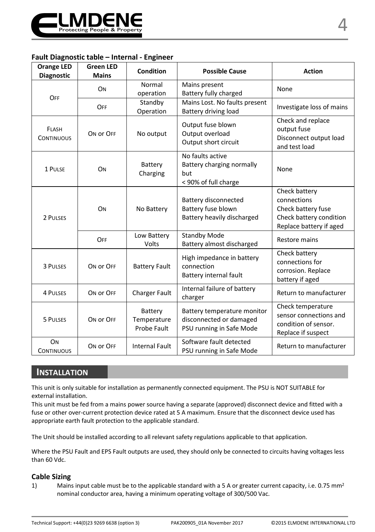

### **Fault Diagnostic table – Internal - Engineer**

| <b>Orange LED</b><br><b>Diagnostic</b> | <b>Green LED</b><br><b>Mains</b> | <b>Condition</b>                      | <b>Possible Cause</b>                                                              | <b>Action</b>                                                                                            |
|----------------------------------------|----------------------------------|---------------------------------------|------------------------------------------------------------------------------------|----------------------------------------------------------------------------------------------------------|
| OFF                                    | ON                               | Normal<br>operation                   | Mains present<br>Battery fully charged                                             | None                                                                                                     |
|                                        | OFF                              | Standby<br>Operation                  | Mains Lost. No faults present<br>Battery driving load                              | Investigate loss of mains                                                                                |
| FLASH<br><b>CONTINUOUS</b>             | ON OF OFF                        | No output                             | Output fuse blown<br>Output overload<br>Output short circuit                       | Check and replace<br>output fuse<br>Disconnect output load<br>and test load                              |
| 1 PULSE                                | ON                               | Battery<br>Charging                   | No faults active<br>Battery charging normally<br>but<br>< 90% of full charge       | None                                                                                                     |
| 2 PULSES                               | ON                               | No Battery                            | Battery disconnected<br>Battery fuse blown<br>Battery heavily discharged           | Check battery<br>connections<br>Check battery fuse<br>Check battery condition<br>Replace battery if aged |
|                                        | OFF                              | Low Battery<br>Volts                  | <b>Standby Mode</b><br>Battery almost discharged                                   | Restore mains                                                                                            |
| 3 PULSES                               | ON OF OFF                        | <b>Battery Fault</b>                  | High impedance in battery<br>connection<br>Battery internal fault                  | Check battery<br>connections for<br>corrosion. Replace<br>battery if aged                                |
| <b>4 PULSES</b>                        | ON OF OFF                        | <b>Charger Fault</b>                  | Internal failure of battery<br>charger                                             | Return to manufacturer                                                                                   |
| 5 PULSES                               | ON OF OFF                        | Battery<br>Temperature<br>Probe Fault | Battery temperature monitor<br>disconnected or damaged<br>PSU running in Safe Mode | Check temperature<br>sensor connections and<br>condition of sensor.<br>Replace if suspect                |
| ON<br><b>CONTINUOUS</b>                | ON OF OFF                        | <b>Internal Fault</b>                 | Software fault detected<br>PSU running in Safe Mode                                | Return to manufacturer                                                                                   |

## **INSTALLATION**

This unit is only suitable for installation as permanently connected equipment. The PSU is NOT SUITABLE for external installation.

This unit must be fed from a mains power source having a separate (approved) disconnect device and fitted with a fuse or other over-current protection device rated at 5 A maximum. Ensure that the disconnect device used has appropriate earth fault protection to the applicable standard.

The Unit should be installed according to all relevant safety regulations applicable to that application.

Where the PSU Fault and EPS Fault outputs are used, they should only be connected to circuits having voltages less than 60 Vdc.

#### **Cable Sizing**

1) Mains input cable must be to the applicable standard with a 5 A or greater current capacity, i.e. 0.75 mm<sup>2</sup> nominal conductor area, having a minimum operating voltage of 300/500 Vac.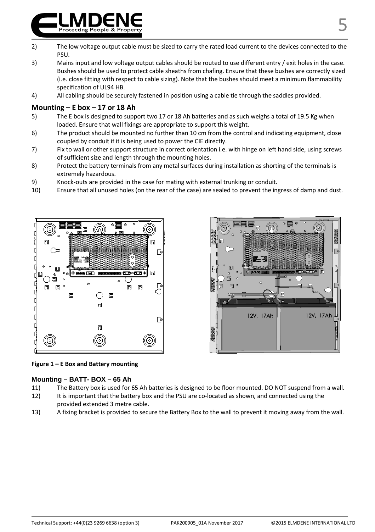- 2) The low voltage output cable must be sized to carry the rated load current to the devices connected to the PSU.
- 3) Mains input and low voltage output cables should be routed to use different entry / exit holes in the case. Bushes should be used to protect cable sheaths from chafing. Ensure that these bushes are correctly sized (i.e. close fitting with respect to cable sizing). Note that the bushes should meet a minimum flammability specification of UL94 HB.
- 4) All cabling should be securely fastened in position using a cable tie through the saddles provided.

### **Mounting – E box – 17 or 18 Ah**

- 5) The E box is designed to support two 17 or 18 Ah batteries and as such weighs a total of 19.5 Kg when loaded. Ensure that wall fixings are appropriate to support this weight.
- 6) The product should be mounted no further than 10 cm from the control and indicating equipment, close coupled by conduit if it is being used to power the CIE directly.
- 7) Fix to wall or other support structure in correct orientation i.e. with hinge on left hand side, using screws of sufficient size and length through the mounting holes.
- 8) Protect the battery terminals from any metal surfaces during installation as shorting of the terminals is extremely hazardous.
- 9) Knock-outs are provided in the case for mating with external trunking or conduit.
- 10) Ensure that all unused holes (on the rear of the case) are sealed to prevent the ingress of damp and dust.





#### **Figure 1 – E Box and Battery mounting**

#### **Mounting – BATT- BOX – 65 Ah**

- 11) The Battery box is used for 65 Ah batteries is designed to be floor mounted. DO NOT suspend from a wall.
- 12) It is important that the battery box and the PSU are co-located as shown, and connected using the provided extended 3 metre cable.
- 13) A fixing bracket is provided to secure the Battery Box to the wall to prevent it moving away from the wall.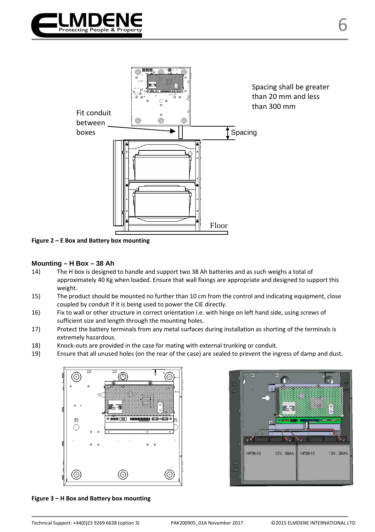

6



**Figure 2 – E Box and Battery box mounting**

#### **Mounting – H Box – 38 Ah**

- 14) The H box is designed to handle and support two 38 Ah batteries and as such weighs a total of approximately 40 Kg when loaded. Ensure that wall fixings are appropriate and designed to support this weight.
- 15) The product should be mounted no further than 10 cm from the control and indicating equipment, close coupled by conduit if it is being used to power the CIE directly.
- 16) Fix to wall or other structure in correct orientation i.e. with hinge on left hand side, using screws of sufficient size and length through the mounting holes.
- 17) Protect the battery terminals from any metal surfaces during installation as shorting of the terminals is extremely hazardous.
- 18) Knock-outs are provided in the case for mating with external trunking or conduit.
- 19) Ensure that all unused holes (on the rear of the case) are sealed to prevent the ingress of damp and dust.





**Figure 3 – H Box and Battery box mounting**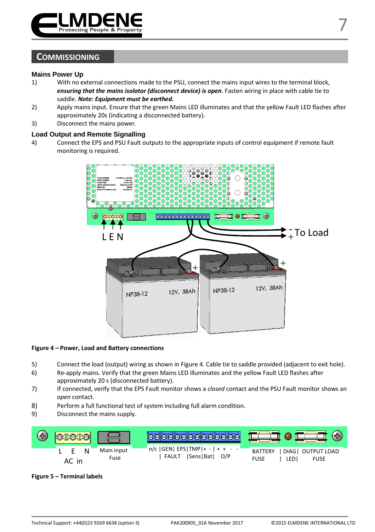

## **COMMISSIONING**

#### **Mains Power Up**

- 1) With no external connections made to the PSU, connect the mains input wires to the terminal block, *ensuring that the mains isolator (disconnect device) is open*. Fasten wiring in place with cable tie to saddle. *Note: Equipment must be earthed.*
- 2) Apply mains input. Ensure that the green Mains LED illuminates and that the yellow Fault LED flashes after approximately 20s (indicating a disconnected battery).
- 3) Disconnect the mains power.

#### **Load Output and Remote Signalling**

4) Connect the EPS and PSU Fault outputs to the appropriate inputs of control equipment if remote fault monitoring is required.



#### **Figure 4 – Power, Load and Battery connections**

- 5) Connect the load (output) wiring as shown in Figure 4. Cable tie to saddle provided (adjacent to exit hole).
- 6) Re-apply mains. Verify that the green Mains LED illuminates and the yellow Fault LED flashes after approximately 20 s (disconnected battery).
- 7) If connected, verify that the EPS Fault monitor shows a *closed* contact and the PSU Fault monitor shows an *open* contact.
- 8) Perform a full functional test of system including full alarm condition.
- 9) Disconnect the mains supply.



#### **Figure 5 – Terminal labels**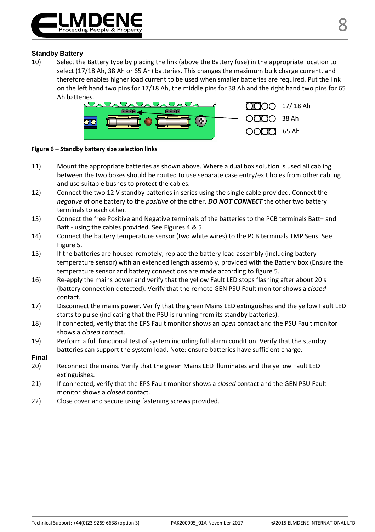

#### **Standby Battery**

10) Select the Battery type by placing the link (above the Battery fuse) in the appropriate location to select (17/18 Ah, 38 Ah or 65 Ah) batteries. This changes the maximum bulk charge current, and therefore enables higher load current to be used when smaller batteries are required. Put the link on the left hand two pins for 17/18 Ah, the middle pins for 38 Ah and the right hand two pins for 65 Ah batteries.



#### **Figure 6 – Standby battery size selection links**

- 11) Mount the appropriate batteries as shown above. Where a dual box solution is used all cabling between the two boxes should be routed to use separate case entry/exit holes from other cabling and use suitable bushes to protect the cables.
- 12) Connect the two 12 V standby batteries in series using the single cable provided. Connect the *negative* of one battery to the *positive* of the other. *DO NOT CONNECT* the other two battery terminals to each other.
- 13) Connect the free Positive and Negative terminals of the batteries to the PCB terminals Batt+ and Batt - using the cables provided. See Figures 4 & 5.
- 14) Connect the battery temperature sensor (two white wires) to the PCB terminals TMP Sens. See Figure 5.
- 15) If the batteries are housed remotely, replace the battery lead assembly (including battery temperature sensor) with an extended length assembly, provided with the Battery box (Ensure the temperature sensor and battery connections are made according to figure 5.
- 16) Re-apply the mains power and verify that the yellow Fault LED stops flashing after about 20 s (battery connection detected). Verify that the remote GEN PSU Fault monitor shows a *closed* contact.
- 17) Disconnect the mains power. Verify that the green Mains LED extinguishes and the yellow Fault LED starts to pulse (indicating that the PSU is running from its standby batteries).
- 18) If connected, verify that the EPS Fault monitor shows an *open* contact and the PSU Fault monitor shows a *closed* contact.
- 19) Perform a full functional test of system including full alarm condition. Verify that the standby batteries can support the system load. Note: ensure batteries have sufficient charge.
- **Final**
- 20) Reconnect the mains. Verify that the green Mains LED illuminates and the yellow Fault LED extinguishes.
- 21) If connected, verify that the EPS Fault monitor shows a *closed* contact and the GEN PSU Fault monitor shows a *closed* contact.
- 22) Close cover and secure using fastening screws provided.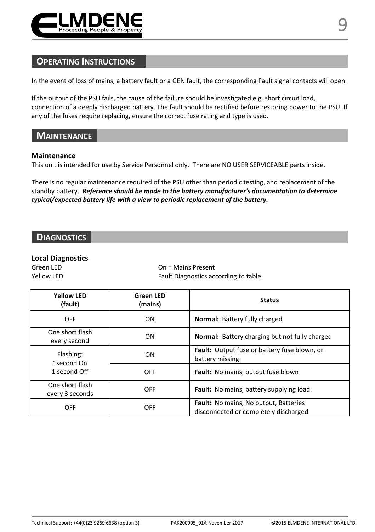

## **OPERATING INSTRUCTIONS**

In the event of loss of mains, a battery fault or a GEN fault, the corresponding Fault signal contacts will open.

If the output of the PSU fails, the cause of the failure should be investigated e.g. short circuit load, connection of a deeply discharged battery. The fault should be rectified before restoring power to the PSU. If any of the fuses require replacing, ensure the correct fuse rating and type is used.

## **MAINTENANCE**

#### **Maintenance**

This unit is intended for use by Service Personnel only. There are NO USER SERVICEABLE parts inside.

There is no regular maintenance required of the PSU other than periodic testing, and replacement of the standby battery. *Reference should be made to the battery manufacturer's documentation to determine typical/expected battery life with a view to periodic replacement of the battery.* 

## **DIAGNOSTICS**

#### **Local Diagnostics**

Green LED **Canadian Connect Connect Connect Connect Connect Connect Connect Connect Connect Connect Connect Connect Connect Connect Connect Connect Connect Connect Connect Connect Connect Connect Connect Connect Connect Co** Yellow LED **Fault Diagnostics according to table:** 

| <b>Yellow LFD</b><br>(fault)            | <b>Green LED</b><br>(mains) | <b>Status</b>                                                                  |  |
|-----------------------------------------|-----------------------------|--------------------------------------------------------------------------------|--|
| <b>OFF</b>                              | <b>ON</b>                   | <b>Normal:</b> Battery fully charged                                           |  |
| One short flash<br>every second         | ON                          | <b>Normal:</b> Battery charging but not fully charged                          |  |
| Flashing:<br>1second On<br>1 second Off | ON                          | Fault: Output fuse or battery fuse blown, or<br>battery missing                |  |
|                                         | <b>OFF</b>                  | Fault: No mains, output fuse blown                                             |  |
| One short flash<br>every 3 seconds      | <b>OFF</b>                  | Fault: No mains, battery supplying load.                                       |  |
| <b>OFF</b>                              | OFF                         | Fault: No mains, No output, Batteries<br>disconnected or completely discharged |  |